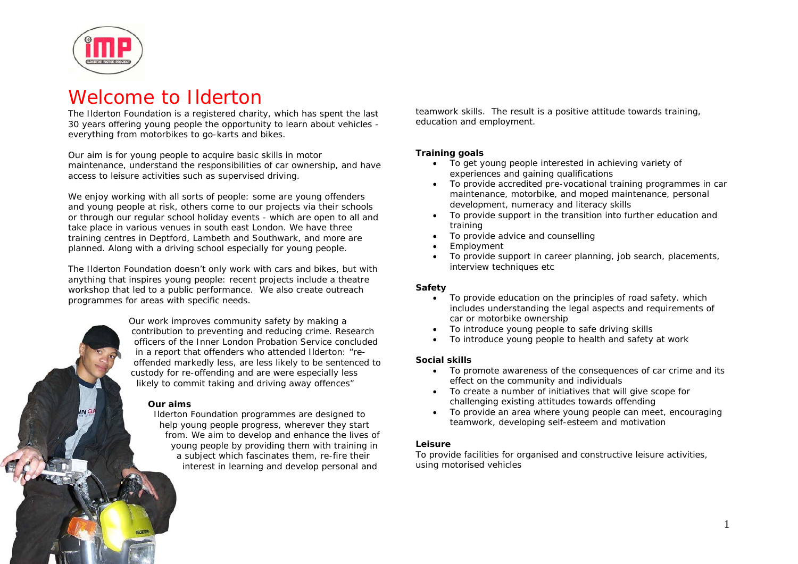

# Welcome to Ilderton

The Ilderton Foundation is a registered charity, which has spent the last 30 years offering young people the opportunity to learn about vehicles everything from motorbikes to go-karts and bikes.

Our aim is for young people to acquire basic skills in motor maintenance, understand the responsibilities of car ownership, and have access to leisure activities such as supervised driving.

We enjoy working with all sorts of people: some are young offenders and young people at risk, others come to our projects via their schools or through our regular school holiday events - which are open to all and take place in various venues in south east London. We have three training centres in Deptford, Lambeth and Southwark, and more are planned. Along with a driving school especially for young people.

The Ilderton Foundation doesn't only work with cars and bikes, but with anything that inspires young people: recent projects include a theatre workshop that led to a public performance. We also create outreach programmes for areas with specific needs.



#### **Our aims**

Ilderton Foundation programmes are designed to help young people progress, wherever they start from. We aim to develop and enhance the lives of young people by providing them with training in a subject which fascinates them, re-fire their interest in learning and develop personal and

teamwork skills. The result is a positive attitude towards training, education and employment.

### **Training goals**

- To get young people interested in achieving variety of experiences and gaining qualifications
- To provide accredited pre-vocational training programmes in car maintenance, motorbike, and moped maintenance, personal development, numeracy and literacy skills
- To provide support in the transition into further education and training
- •To provide advice and counselling
- •Employment
- • To provide support in career planning, job search, placements, interview techniques etc

### **Safety**

- To provide education on the principles of road safety. which includes understanding the legal aspects and requirements of car or motorbike ownership
- •To introduce young people to safe driving skills
- •To introduce young people to health and safety at work

#### **Social skills**

- To promote awareness of the consequences of car crime and its effect on the community and individuals
- To create a number of initiatives that will give scope for challenging existing attitudes towards offending
- • To provide an area where young people can meet, encouraging teamwork, developing self-esteem and motivation

## **Leisure**

To provide facilities for organised and constructive leisure activities, using motorised vehicles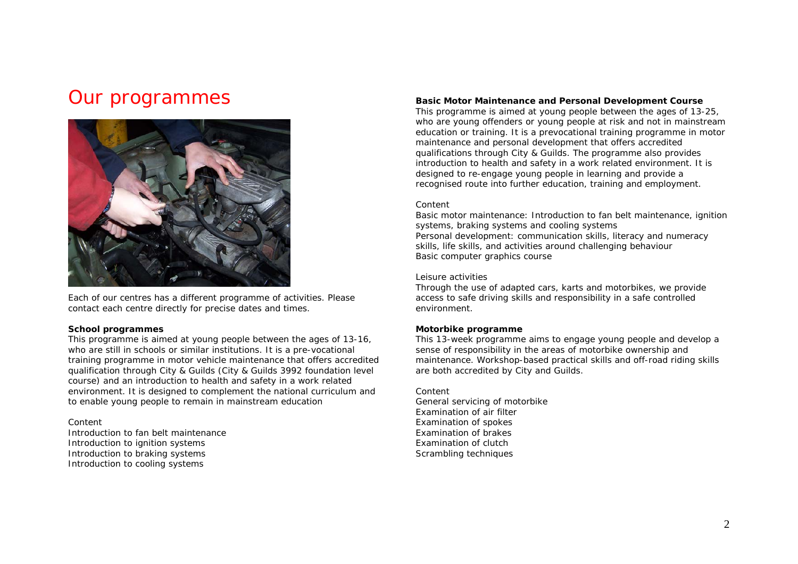# Our programmes



Each of our centres has a different programme of activities. Please contact each centre directly for precise dates and times.

#### **School programmes**

This programme is aimed at young people between the ages of 13-16, who are still in schools or similar institutions. It is a pre-vocational training programme in motor vehicle maintenance that offers accredited qualification through City & Guilds (City & Guilds 3992 foundation level course) and an introduction to health and safety in a work related environment. It is designed to complement the national curriculum and to enable young people to remain in mainstream education

#### *Content*

Introduction to fan belt maintenance Introduction to ignition systems Introduction to braking systems Introduction to cooling systems

#### **Basic Motor Maintenance and Personal Development Course**

This programme is aimed at young people between the ages of 13-25, who are young offenders or young people at risk and not in mainstream education or training. It is a prevocational training programme in motor maintenance and personal development that offers accredited qualifications through City & Guilds. The programme also provides introduction to health and safety in a work related environment. It is designed to re-engage young people in learning and provide a recognised route into further education, training and employment.

#### *Content*

Basic motor maintenance: Introduction to fan belt maintenance, ignition systems, braking systems and cooling systems Personal development: communication skills, literacy and numeracy skills, life skills, and activities around challenging behaviour Basic computer graphics course

#### Leisure activities

Through the use of adapted cars, karts and motorbikes, we provide access to safe driving skills and responsibility in a safe controlled environment.

#### **Motorbike programme**

This 13-week programme aims to engage young people and develop a sense of responsibility in the areas of motorbike ownership and maintenance. Workshop-based practical skills and off-road riding skills are both accredited by City and Guilds.

*Content* 

General servicing of motorbike Examination of air filter Examination of spokes Examination of brakes Examination of clutch Scrambling techniques